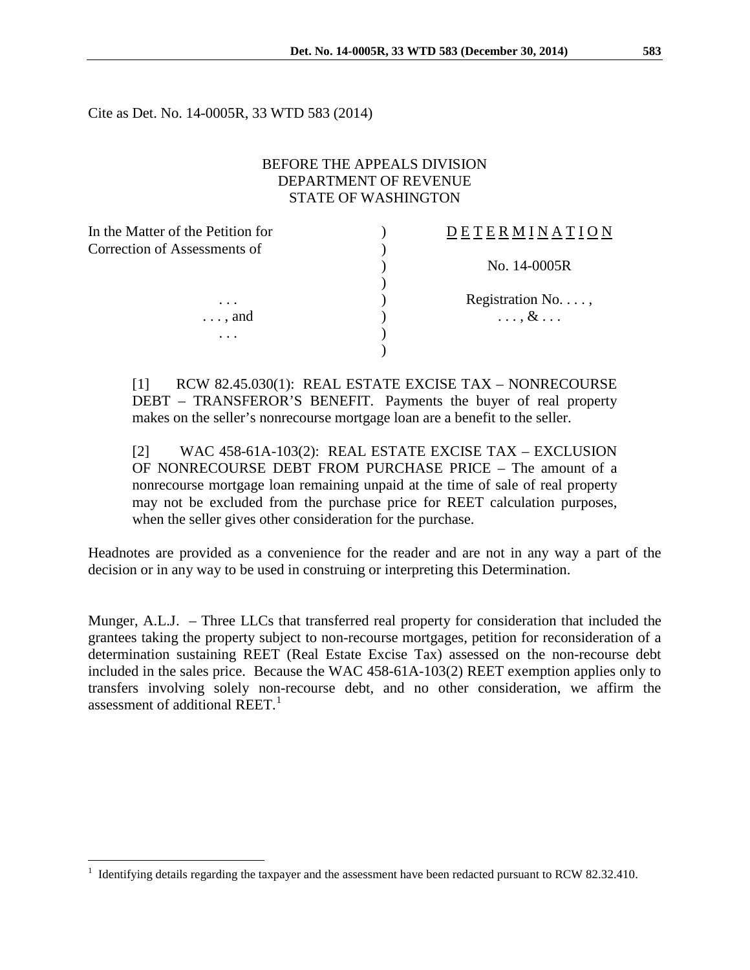Cite as Det. No. 14-0005R, 33 WTD 583 (2014)

## BEFORE THE APPEALS DIVISION DEPARTMENT OF REVENUE STATE OF WASHINGTON

| In the Matter of the Petition for | ETERMINATION               |
|-----------------------------------|----------------------------|
| Correction of Assessments of      |                            |
|                                   | No. 14-0005R               |
|                                   |                            |
| $\cdot$                           | Registration No. $\dots$ , |
| $\ldots$ and                      | $\ldots$ , $\&$ $\ldots$   |
| $\ddot{\phantom{0}}$ .            |                            |
|                                   |                            |

[1] RCW 82.45.030(1): REAL ESTATE EXCISE TAX – NONRECOURSE DEBT – TRANSFEROR'S BENEFIT. Payments the buyer of real property makes on the seller's nonrecourse mortgage loan are a benefit to the seller.

[2] WAC 458-61A-103(2): REAL ESTATE EXCISE TAX – EXCLUSION OF NONRECOURSE DEBT FROM PURCHASE PRICE – The amount of a nonrecourse mortgage loan remaining unpaid at the time of sale of real property may not be excluded from the purchase price for REET calculation purposes, when the seller gives other consideration for the purchase.

Headnotes are provided as a convenience for the reader and are not in any way a part of the decision or in any way to be used in construing or interpreting this Determination.

Munger, A.L.J. – Three LLCs that transferred real property for consideration that included the grantees taking the property subject to non-recourse mortgages, petition for reconsideration of a determination sustaining REET (Real Estate Excise Tax) assessed on the non-recourse debt included in the sales price. Because the WAC 458-61A-103(2) REET exemption applies only to transfers involving solely non-recourse debt, and no other consideration, we affirm the assessment of additional REET. $<sup>1</sup>$  $<sup>1</sup>$  $<sup>1</sup>$ </sup>

 $\overline{a}$ 

<span id="page-0-0"></span><sup>1</sup> Identifying details regarding the taxpayer and the assessment have been redacted pursuant to RCW 82.32.410.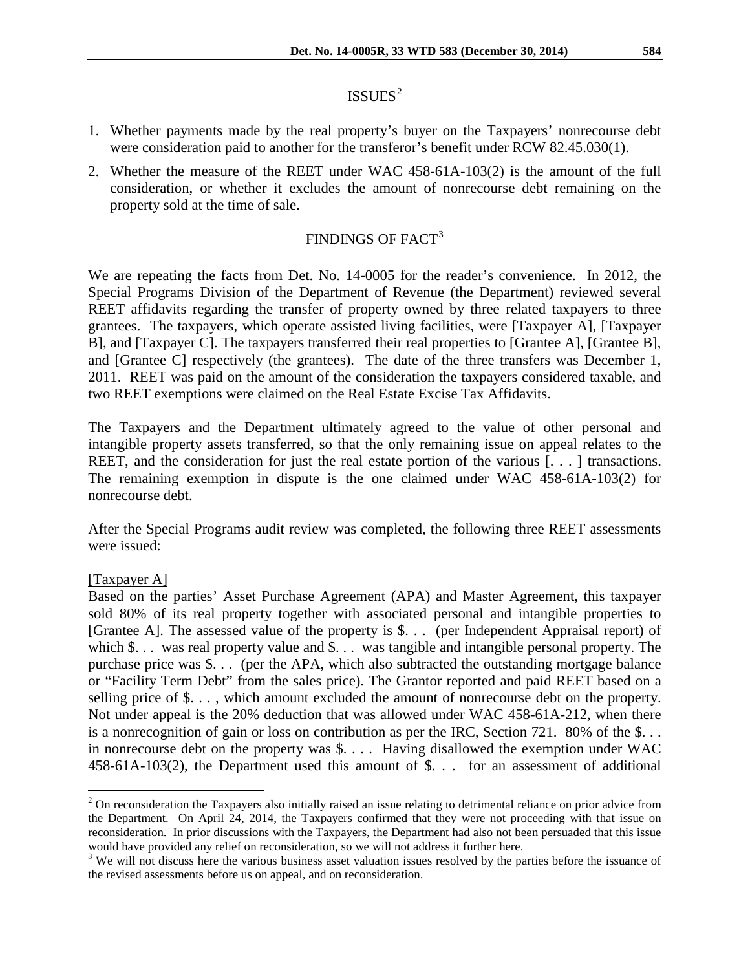# $ISSUES<sup>2</sup>$  $ISSUES<sup>2</sup>$  $ISSUES<sup>2</sup>$

- 1. Whether payments made by the real property's buyer on the Taxpayers' nonrecourse debt were consideration paid to another for the transferor's benefit under RCW 82.45.030(1).
- 2. Whether the measure of the REET under WAC 458-61A-103(2) is the amount of the full consideration, or whether it excludes the amount of nonrecourse debt remaining on the property sold at the time of sale.

# FINDINGS OF FACT<sup>[3](#page-1-1)</sup>

We are repeating the facts from Det. No. 14-0005 for the reader's convenience. In 2012, the Special Programs Division of the Department of Revenue (the Department) reviewed several REET affidavits regarding the transfer of property owned by three related taxpayers to three grantees. The taxpayers, which operate assisted living facilities, were [Taxpayer A], [Taxpayer B], and [Taxpayer C]. The taxpayers transferred their real properties to [Grantee A], [Grantee B], and [Grantee C] respectively (the grantees). The date of the three transfers was December 1, 2011. REET was paid on the amount of the consideration the taxpayers considered taxable, and two REET exemptions were claimed on the Real Estate Excise Tax Affidavits.

The Taxpayers and the Department ultimately agreed to the value of other personal and intangible property assets transferred, so that the only remaining issue on appeal relates to the REET, and the consideration for just the real estate portion of the various [...] transactions. The remaining exemption in dispute is the one claimed under WAC 458-61A-103(2) for nonrecourse debt.

After the Special Programs audit review was completed, the following three REET assessments were issued:

## [Taxpayer A]

 $\overline{a}$ 

Based on the parties' Asset Purchase Agreement (APA) and Master Agreement, this taxpayer sold 80% of its real property together with associated personal and intangible properties to [Grantee A]. The assessed value of the property is \$. . . (per Independent Appraisal report) of which \$... was real property value and \$... was tangible and intangible personal property. The purchase price was \$. . . (per the APA, which also subtracted the outstanding mortgage balance or "Facility Term Debt" from the sales price). The Grantor reported and paid REET based on a selling price of \$. . . , which amount excluded the amount of nonrecourse debt on the property. Not under appeal is the 20% deduction that was allowed under WAC 458-61A-212, when there is a nonrecognition of gain or loss on contribution as per the IRC, Section 721. 80% of the \$. . . in nonrecourse debt on the property was \$. . . . Having disallowed the exemption under WAC 458-61A-103(2), the Department used this amount of \$. . . for an assessment of additional

<span id="page-1-0"></span> $<sup>2</sup>$  On reconsideration the Taxpayers also initially raised an issue relating to detrimental reliance on prior advice from</sup> the Department. On April 24, 2014, the Taxpayers confirmed that they were not proceeding with that issue on reconsideration. In prior discussions with the Taxpayers, the Department had also not been persuaded that this issue

<span id="page-1-1"></span>would have provided any relief on reconsideration, so we will not address it further here.<br><sup>3</sup> We will not discuss here the various business asset valuation issues resolved by the parties before the issuance of the revised assessments before us on appeal, and on reconsideration.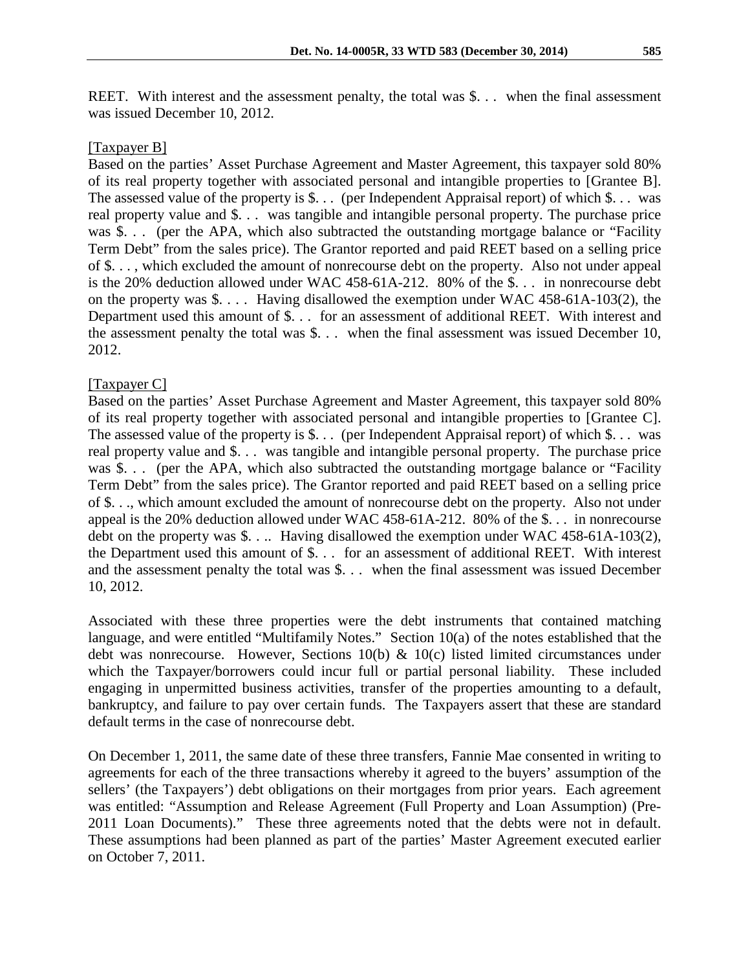REET. With interest and the assessment penalty, the total was \$... when the final assessment was issued December 10, 2012.

#### [Taxpayer B]

Based on the parties' Asset Purchase Agreement and Master Agreement, this taxpayer sold 80% of its real property together with associated personal and intangible properties to [Grantee B]. The assessed value of the property is \$. . . (per Independent Appraisal report) of which \$. . . was real property value and \$. . . was tangible and intangible personal property. The purchase price was \$. . . (per the APA, which also subtracted the outstanding mortgage balance or "Facility" Term Debt" from the sales price). The Grantor reported and paid REET based on a selling price of \$. . . , which excluded the amount of nonrecourse debt on the property. Also not under appeal is the 20% deduction allowed under WAC 458-61A-212. 80% of the \$. . . in nonrecourse debt on the property was \$. . . . Having disallowed the exemption under WAC 458-61A-103(2), the Department used this amount of \$. . . for an assessment of additional REET. With interest and the assessment penalty the total was \$. . . when the final assessment was issued December 10, 2012.

### [Taxpayer C]

Based on the parties' Asset Purchase Agreement and Master Agreement, this taxpayer sold 80% of its real property together with associated personal and intangible properties to [Grantee C]. The assessed value of the property is \$. . . (per Independent Appraisal report) of which \$. . . was real property value and \$. . . was tangible and intangible personal property. The purchase price was \$. . . (per the APA, which also subtracted the outstanding mortgage balance or "Facility" Term Debt" from the sales price). The Grantor reported and paid REET based on a selling price of \$. . ., which amount excluded the amount of nonrecourse debt on the property. Also not under appeal is the 20% deduction allowed under WAC 458-61A-212. 80% of the \$. . . in nonrecourse debt on the property was \$. . .. Having disallowed the exemption under WAC 458-61A-103(2), the Department used this amount of \$. . . for an assessment of additional REET. With interest and the assessment penalty the total was \$. . . when the final assessment was issued December 10, 2012.

Associated with these three properties were the debt instruments that contained matching language, and were entitled "Multifamily Notes." Section 10(a) of the notes established that the debt was nonrecourse. However, Sections 10(b) & 10(c) listed limited circumstances under which the Taxpayer/borrowers could incur full or partial personal liability. These included engaging in unpermitted business activities, transfer of the properties amounting to a default, bankruptcy, and failure to pay over certain funds. The Taxpayers assert that these are standard default terms in the case of nonrecourse debt.

On December 1, 2011, the same date of these three transfers, Fannie Mae consented in writing to agreements for each of the three transactions whereby it agreed to the buyers' assumption of the sellers' (the Taxpayers') debt obligations on their mortgages from prior years. Each agreement was entitled: "Assumption and Release Agreement (Full Property and Loan Assumption) (Pre-2011 Loan Documents)." These three agreements noted that the debts were not in default. These assumptions had been planned as part of the parties' Master Agreement executed earlier on October 7, 2011.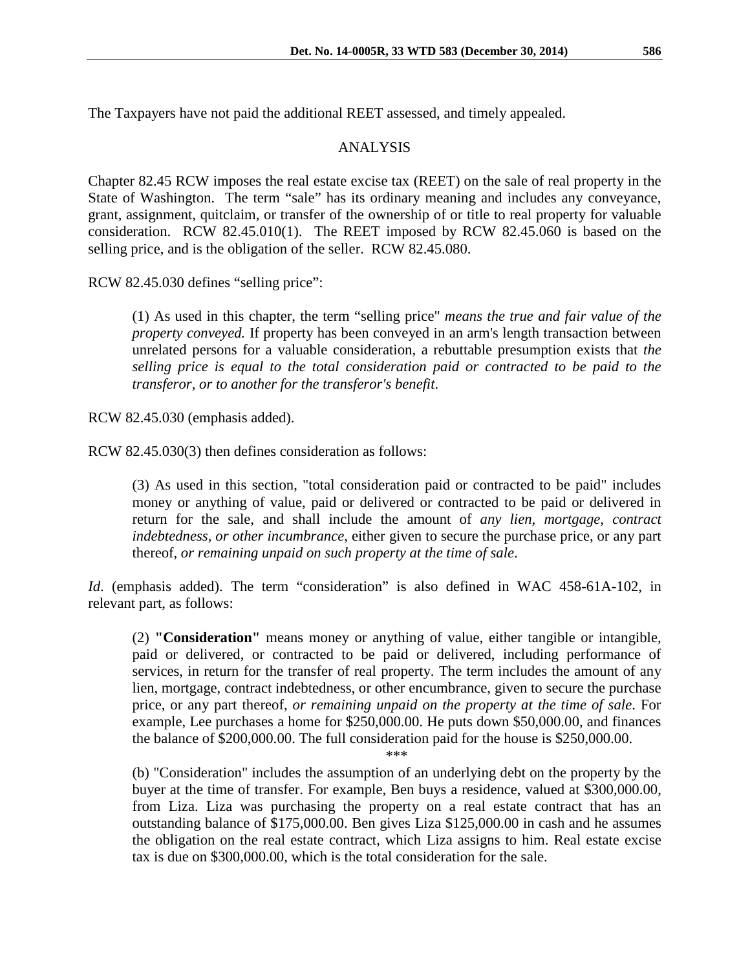The Taxpayers have not paid the additional REET assessed, and timely appealed.

### ANALYSIS

Chapter 82.45 RCW imposes the real estate excise tax (REET) on the sale of real property in the State of Washington. The term "sale" has its ordinary meaning and includes any conveyance, grant, assignment, quitclaim, or transfer of the ownership of or title to real property for valuable consideration. RCW 82.45.010(1). The REET imposed by RCW 82.45.060 is based on the selling price, and is the obligation of the seller. RCW 82.45.080.

RCW 82.45.030 defines "selling price":

(1) As used in this chapter, the term "selling price" *means the true and fair value of the property conveyed.* If property has been conveyed in an arm's length transaction between unrelated persons for a valuable consideration, a rebuttable presumption exists that *the selling price is equal to the total consideration paid or contracted to be paid to the transferor, or to another for the transferor's benefit*.

RCW 82.45.030 (emphasis added).

RCW 82.45.030(3) then defines consideration as follows:

(3) As used in this section, "total consideration paid or contracted to be paid" includes money or anything of value, paid or delivered or contracted to be paid or delivered in return for the sale, and shall include the amount of *any lien, mortgage, contract indebtedness, or other incumbrance*, either given to secure the purchase price, or any part thereof, *or remaining unpaid on such property at the time of sale*.

*Id.* (emphasis added). The term "consideration" is also defined in WAC 458-61A-102, in relevant part, as follows:

(2) **"Consideration"** means money or anything of value, either tangible or intangible, paid or delivered, or contracted to be paid or delivered, including performance of services, in return for the transfer of real property. The term includes the amount of any lien, mortgage, contract indebtedness, or other encumbrance, given to secure the purchase price, or any part thereof, *or remaining unpaid on the property at the time of sale*. For example, Lee purchases a home for \$250,000.00. He puts down \$50,000.00, and finances the balance of \$200,000.00. The full consideration paid for the house is \$250,000.00.

\*\*\*

(b) "Consideration" includes the assumption of an underlying debt on the property by the buyer at the time of transfer. For example, Ben buys a residence, valued at \$300,000.00, from Liza. Liza was purchasing the property on a real estate contract that has an outstanding balance of \$175,000.00. Ben gives Liza \$125,000.00 in cash and he assumes the obligation on the real estate contract, which Liza assigns to him. Real estate excise tax is due on \$300,000.00, which is the total consideration for the sale.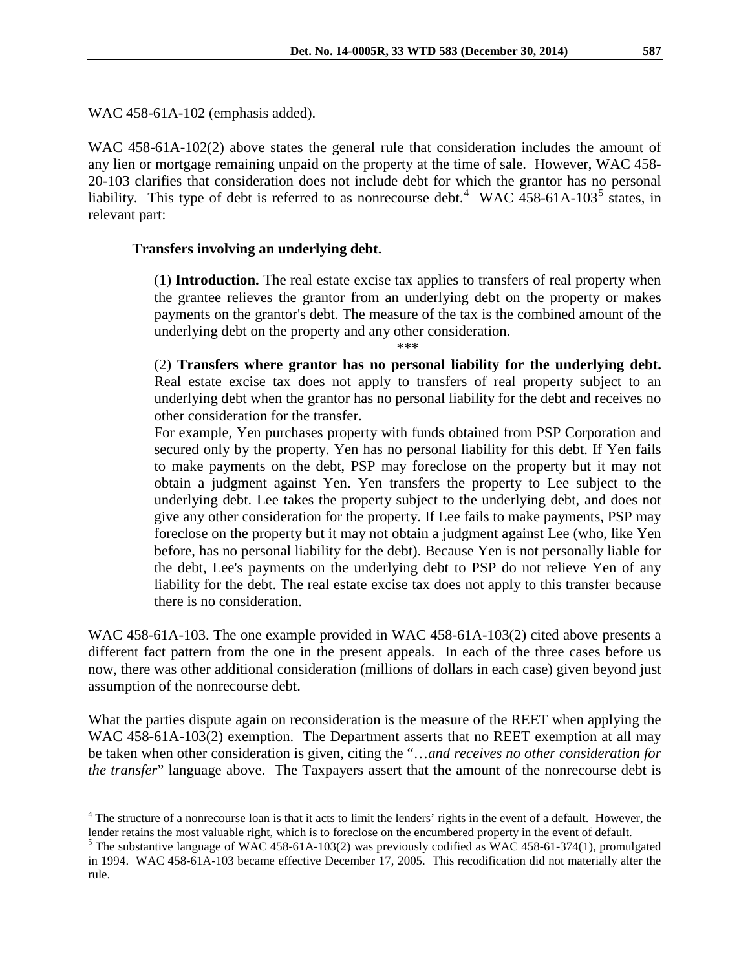WAC 458-61A-102 (emphasis added).

 $\overline{a}$ 

WAC 458-61A-102(2) above states the general rule that consideration includes the amount of any lien or mortgage remaining unpaid on the property at the time of sale. However, WAC 458- 20-103 clarifies that consideration does not include debt for which the grantor has no personal liability. This type of debt is referred to as nonrecourse debt.<sup>[4](#page-4-0)</sup> WAC 4[5](#page-4-1)8-61A-103<sup>5</sup> states, in relevant part:

#### **Transfers involving an underlying debt.**

(1) **Introduction.** The real estate excise tax applies to transfers of real property when the grantee relieves the grantor from an underlying debt on the property or makes payments on the grantor's debt. The measure of the tax is the combined amount of the underlying debt on the property and any other consideration.

\*\*\*

(2) **Transfers where grantor has no personal liability for the underlying debt.** Real estate excise tax does not apply to transfers of real property subject to an underlying debt when the grantor has no personal liability for the debt and receives no other consideration for the transfer.

For example, Yen purchases property with funds obtained from PSP Corporation and secured only by the property. Yen has no personal liability for this debt. If Yen fails to make payments on the debt, PSP may foreclose on the property but it may not obtain a judgment against Yen. Yen transfers the property to Lee subject to the underlying debt. Lee takes the property subject to the underlying debt, and does not give any other consideration for the property. If Lee fails to make payments, PSP may foreclose on the property but it may not obtain a judgment against Lee (who, like Yen before, has no personal liability for the debt). Because Yen is not personally liable for the debt, Lee's payments on the underlying debt to PSP do not relieve Yen of any liability for the debt. The real estate excise tax does not apply to this transfer because there is no consideration.

WAC 458-61A-103. The one example provided in WAC 458-61A-103(2) cited above presents a different fact pattern from the one in the present appeals. In each of the three cases before us now, there was other additional consideration (millions of dollars in each case) given beyond just assumption of the nonrecourse debt.

What the parties dispute again on reconsideration is the measure of the REET when applying the WAC 458-61A-103(2) exemption. The Department asserts that no REET exemption at all may be taken when other consideration is given, citing the "…*and receives no other consideration for the transfer*" language above. The Taxpayers assert that the amount of the nonrecourse debt is

<span id="page-4-0"></span> $4$  The structure of a nonrecourse loan is that it acts to limit the lenders' rights in the event of a default. However, the lender retains the most valuable right, which is to foreclose on the encumbered property in the event of default.<br><sup>5</sup> The substantive language of WAC 458-61A-103(2) was previously codified as WAC 458-61-374(1), promulgated

<span id="page-4-1"></span>in 1994. WAC 458-61A-103 became effective December 17, 2005. This recodification did not materially alter the rule.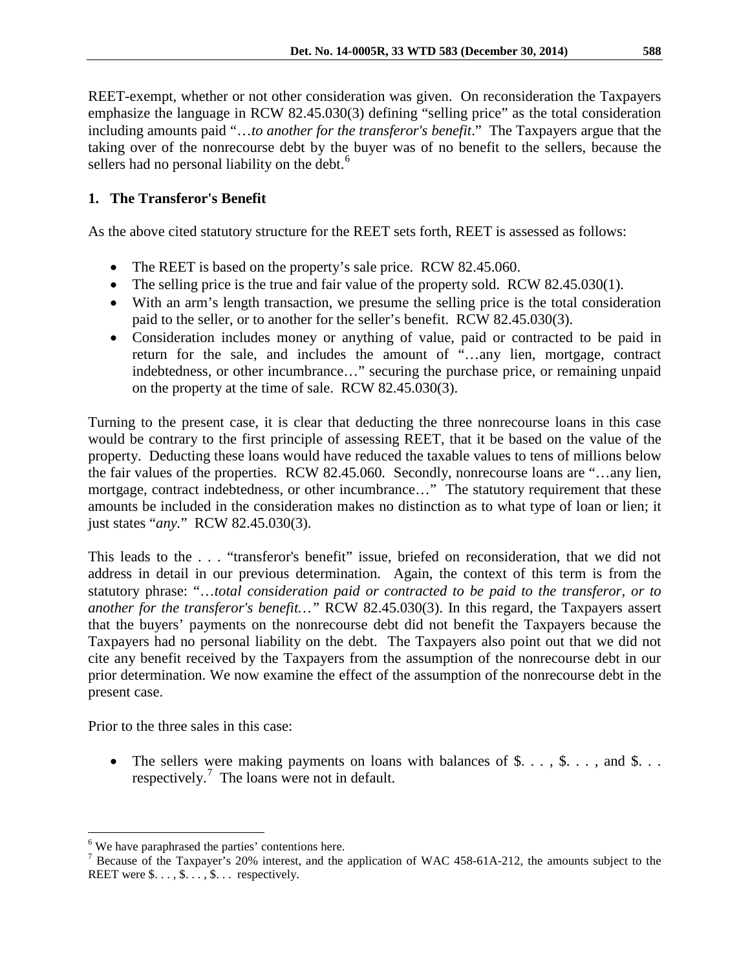REET-exempt, whether or not other consideration was given. On reconsideration the Taxpayers emphasize the language in RCW 82.45.030(3) defining "selling price" as the total consideration including amounts paid "…*to another for the transferor's benefit*." The Taxpayers argue that the taking over of the nonrecourse debt by the buyer was of no benefit to the sellers, because the sellers had no personal liability on the debt.<sup>[6](#page-5-0)</sup>

# **1. The Transferor's Benefit**

As the above cited statutory structure for the REET sets forth, REET is assessed as follows:

- The REET is based on the property's sale price. RCW 82.45.060.
- The selling price is the true and fair value of the property sold. RCW 82.45.030(1).
- With an arm's length transaction, we presume the selling price is the total consideration paid to the seller, or to another for the seller's benefit. RCW 82.45.030(3).
- Consideration includes money or anything of value, paid or contracted to be paid in return for the sale, and includes the amount of "…any lien, mortgage, contract indebtedness, or other incumbrance…" securing the purchase price, or remaining unpaid on the property at the time of sale. RCW 82.45.030(3).

Turning to the present case, it is clear that deducting the three nonrecourse loans in this case would be contrary to the first principle of assessing REET, that it be based on the value of the property. Deducting these loans would have reduced the taxable values to tens of millions below the fair values of the properties. RCW 82.45.060. Secondly, nonrecourse loans are "…any lien, mortgage, contract indebtedness, or other incumbrance…" The statutory requirement that these amounts be included in the consideration makes no distinction as to what type of loan or lien; it just states "*any.*" RCW 82.45.030(3).

This leads to the . . . "transferor's benefit" issue, briefed on reconsideration, that we did not address in detail in our previous determination. Again, the context of this term is from the statutory phrase: "…*total consideration paid or contracted to be paid to the transferor, or to another for the transferor's benefit…"* RCW 82.45.030(3). In this regard, the Taxpayers assert that the buyers' payments on the nonrecourse debt did not benefit the Taxpayers because the Taxpayers had no personal liability on the debt. The Taxpayers also point out that we did not cite any benefit received by the Taxpayers from the assumption of the nonrecourse debt in our prior determination. We now examine the effect of the assumption of the nonrecourse debt in the present case.

Prior to the three sales in this case:

 $\overline{a}$ 

• The sellers were making payments on loans with balances of  $\$\ldots, \$\ldots,$  and  $\$\ldots$ respectively.<sup>[7](#page-5-1)</sup> The loans were not in default.

<span id="page-5-0"></span><sup>&</sup>lt;sup>6</sup> We have paraphrased the parties' contentions here.

<span id="page-5-1"></span><sup>&</sup>lt;sup>7</sup> Because of the Taxpayer's 20% interest, and the application of WAC 458-61A-212, the amounts subject to the REET were  $\text{\$} \ldots, \text{\$} \ldots, \text{\$} \ldots$  respectively.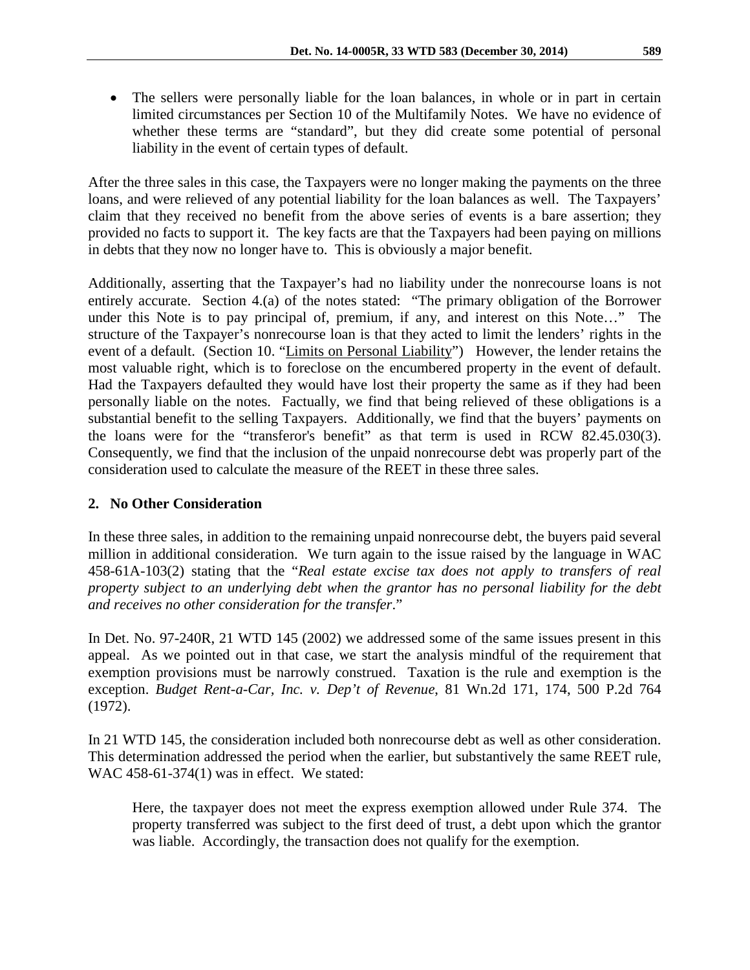• The sellers were personally liable for the loan balances, in whole or in part in certain limited circumstances per Section 10 of the Multifamily Notes. We have no evidence of whether these terms are "standard", but they did create some potential of personal liability in the event of certain types of default.

After the three sales in this case, the Taxpayers were no longer making the payments on the three loans, and were relieved of any potential liability for the loan balances as well. The Taxpayers' claim that they received no benefit from the above series of events is a bare assertion; they provided no facts to support it. The key facts are that the Taxpayers had been paying on millions in debts that they now no longer have to. This is obviously a major benefit.

Additionally, asserting that the Taxpayer's had no liability under the nonrecourse loans is not entirely accurate. Section 4.(a) of the notes stated: "The primary obligation of the Borrower under this Note is to pay principal of, premium, if any, and interest on this Note…" The structure of the Taxpayer's nonrecourse loan is that they acted to limit the lenders' rights in the event of a default. (Section 10. "Limits on Personal Liability") However, the lender retains the most valuable right, which is to foreclose on the encumbered property in the event of default. Had the Taxpayers defaulted they would have lost their property the same as if they had been personally liable on the notes. Factually, we find that being relieved of these obligations is a substantial benefit to the selling Taxpayers. Additionally, we find that the buyers' payments on the loans were for the "transferor's benefit" as that term is used in RCW 82.45.030(3). Consequently, we find that the inclusion of the unpaid nonrecourse debt was properly part of the consideration used to calculate the measure of the REET in these three sales.

# **2. No Other Consideration**

In these three sales, in addition to the remaining unpaid nonrecourse debt, the buyers paid several million in additional consideration. We turn again to the issue raised by the language in WAC 458-61A-103(2) stating that the "*Real estate excise tax does not apply to transfers of real property subject to an underlying debt when the grantor has no personal liability for the debt and receives no other consideration for the transfer*."

In Det. No. 97-240R, 21 WTD 145 (2002) we addressed some of the same issues present in this appeal. As we pointed out in that case, we start the analysis mindful of the requirement that exemption provisions must be narrowly construed. Taxation is the rule and exemption is the exception. *Budget Rent-a-Car, Inc. v. Dep't of Revenue*, 81 Wn.2d 171, 174, 500 P.2d 764 (1972).

In 21 WTD 145, the consideration included both nonrecourse debt as well as other consideration. This determination addressed the period when the earlier, but substantively the same REET rule, WAC 458-61-374(1) was in effect. We stated:

Here, the taxpayer does not meet the express exemption allowed under Rule 374. The property transferred was subject to the first deed of trust, a debt upon which the grantor was liable. Accordingly, the transaction does not qualify for the exemption.